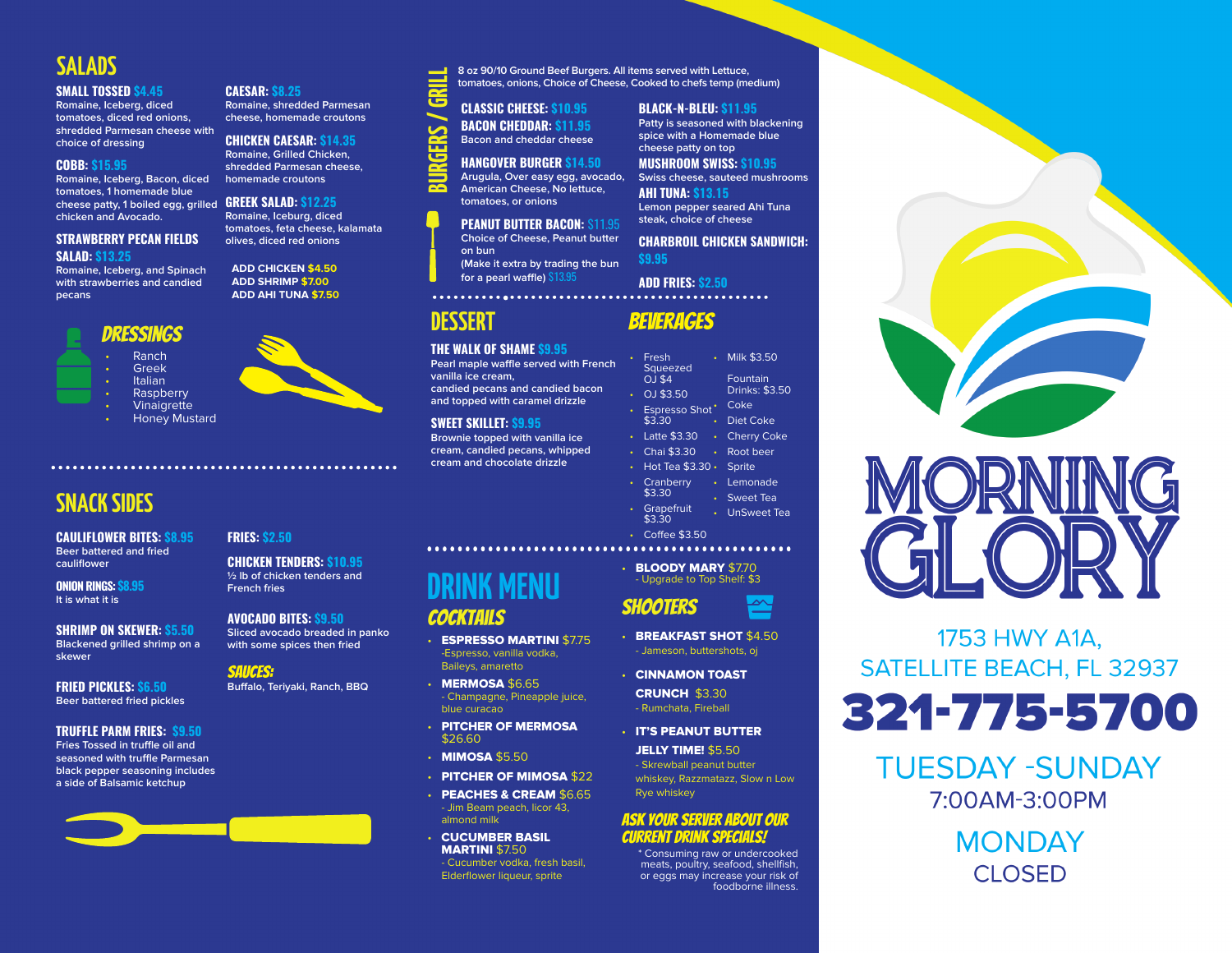# **SALADS**

#### **SMALL TOSSED \$4.45**

**Romaine, Iceberg, diced tomatoes, diced red onions, shredded Parmesan cheese with choice of dressing** 

#### **COBB: \$15.95**

**Romaine, Iceberg, Bacon, diced tomatoes, 1 homemade blue cheese patty, 1 boiled egg, grilled chicken and Avocado.**

#### **STRAWBERRY PECAN FIELDS SALAD: \$13.25**

**Romaine, Iceberg, and Spinach with strawberries and candied pecans**

## Dressings

- Ranch • Greek
- **Italian**

**Raspberry** • Vinaigrette

• Honey Mustard

# **SNACK SIDES**

**CAULIFLOWER BITES: \$8.95 Beer battered and fried cauliflower**

**ONION RINGS: \$8.95 It is what it is**

**SHRIMP ON SKEWER: \$5.50 Blackened grilled shrimp on a skewer**

**FRIED PICKLES: \$6.50 Beer battered fried pickles**

#### **TRUFFLE PARM FRIES: \$9.50**

**Fries Tossed in truffle oil and seasoned with truffle Parmesan black pepper seasoning includes a side of Balsamic ketchup**



**GREEK SALAD: \$12.25 Romaine, Iceburg, diced tomatoes, feta cheese, kalamata olives, diced red onions**

**Romaine, shredded Parmesan cheese, homemade croutons CHICKEN CAESAR: \$14.35 Romaine, Grilled Chicken, shredded Parmesan cheese,** 

#### **ADD CHICKEN \$4.50 ADD SHRIMP \$7.00 ADD AHI TUNA \$7.50**

**CAESAR: \$8.25**

# **American Cheese, No lettuce, tomatoes, or onions PEANUT BUTTER BACON:** \$11.95 **BURGERS / GRILL**

**TRIL** 

÷ च

> **Choice of Cheese, Peanut butter on bun (Make it extra by trading the bun for a pearl waffle)** \$13.95

**CLASSIC CHEESE: \$10.95 BACON CHEDDAR: \$11.95 Bacon and cheddar cheese HANGOVER BURGER \$14.50 Arugula, Over easy egg, avocado,** 

# **DESSERT**

**THE WALK OF SHAME \$9.95 Pearl maple waffle served with French vanilla ice cream, candied pecans and candied bacon** 

**and topped with caramel drizzle SWEET SKILLET: \$9.95**

**Brownie topped with vanilla ice cream, candied pecans, whipped cream and chocolate drizzle**

- Cranberry \$3.30 • Grapefruit • Root beer
	-

• BLOODY MARY \$7.70 - Upgrade to Top Shelf: \$3

Shooters

- BREAKFAST SHOT \$4.50 - Jameson, buttershots, oj
- CINNAMON TOAST CRUNCH \$3.30 - Rumchata, Fireball
- IT'S PEANUT BUTTER JELLY TIME! \$5.50 - Skrewball peanut butter

whiskey, Razzmatazz, Slow n Low Rye whiskey

### Ask your server about our current Drink Specials!

\* Consuming raw or undercooked meats, poultry, seafood, shellfish, or eggs may increase your risk of foodborne illness.



**Swiss cheese, sauteed mushrooms**

**AHI TUNA: \$13.15 Lemon pepper seared Ahi Tuna steak, choice of cheese**

**CHARBROIL CHICKEN SANDWICH: \$9.95**

> **Fountain** Drinks: \$3.50

**ADD FRIES: \$2.50**  $\cdots$ 

| ORN<br>$\mathfrak{C}$ |  |
|-----------------------|--|

1753 HWY A1A, **SATELLITE BEACH, FL 32937** 

321-775-5700

**TUESDAY -SUNDAY** 7:00AM-3:00PM

> **MONDAY CLOSED**

### **CHICKEN TENDERS: \$10.95 ½ lb of chicken tenders and French fries**

**FRIES: \$2.50**

**AVOCADO BITES: \$9.50**

**Sliced avocado breaded in panko with some spices then fried**

sauces:

**Buffalo, Teriyaki, Ranch, BBQ**

# **DRINK MENU COCKTAILS**

- **ESPRESSO MARTINI \$7.75** -Espresso, vanilla vodka, Baileys, amaretto
- MERMOSA \$6.65 - Champagne, Pineapple juice, blue curacao
- PITCHER OF MERMOSA \$26.60
- **MIMOSA \$5.50**
- PITCHER OF MIMOSA \$22
- PEACHES & CREAM \$6.65 - Jim Beam peach, licor 43, almond milk
- CUCUMBER BASIL MARTINI \$7.50 - Cucumber vodka, fresh basil, Elderflower liqueur, sprite

**8 oz 90/10 Ground Beef Burgers. All items served with Lettuce, tomatoes, onions, Choice of Cheese, Cooked to chefs temp (medium)**

Beverages

• Fresh Squeezed  $O$   $\overline{\phantom{a}}$  \$4 • OJ \$3.50 • Espresso Shot<sup>• Coke</sup> \$3.30 • Latte \$3.30 • Chai \$3.30 • Milk \$3.50 • Diet Coke • Cherry Coke

- Hot Tea \$3.30 Sprite • Lemonade
- Sweet Tea
- $43.30$ • UnSweet Tea
- Coffee \$3.50